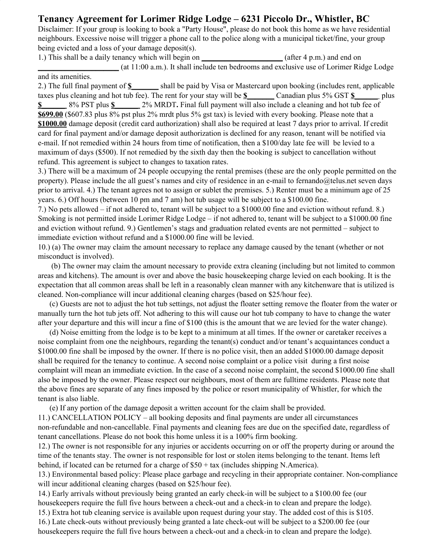## **Tenancy Agreement for Lorimer Ridge Lodge – 6231 Piccolo Dr., Whistler, BC**

Disclaimer: If your group is looking to book a "Party House", please do not book this home as we have residential neighbours. Excessive noise will trigger a phone call to the police along with a municipal ticket/fine, your group being evicted and a loss of your damage deposit(s).

1.) This shall be a daily tenancy which will begin on **\_\_\_\_\_\_\_\_\_\_\_\_\_\_\_\_\_\_\_\_\_** (after 4 p.m.) and end on **\_\_\_\_\_\_\_\_\_\_\_\_\_\_\_\_\_\_\_\_\_** (at 11:00 a.m.). It shall include ten bedrooms and exclusive use of Lorimer Ridge Lodge and its amenities.

2.) The full final payment of **\$\_\_\_\_\_\_\_** shall be paid by Visa or Mastercard upon booking (includes rent, applicable taxes plus cleaning and hot tub fee). The rent for your stay will be **\$\_\_\_\_\_\_\_** Canadian plus 5% GST **\$\_\_\_\_\_\_** plus **\$** 8% PST plus **\$** 2% MRDT. Final full payment will also include a cleaning and hot tub fee of **\$699.00** (\$607.83 plus 8% pst plus 2% mrdt plus 5% gst tax) is levied with every booking. Please note that a **\$1000.00** damage deposit (credit card authorization) shall also be required at least 7 days prior to arrival. If credit card for final payment and/or damage deposit authorization is declined for any reason, tenant will be notified via e-mail. If not remedied within 24 hours from time of notification, then a \$100/day late fee will be levied to a maximum of days (\$500). If not remedied by the sixth day then the booking is subject to cancellation without refund. This agreement is subject to changes to taxation rates.

3.) There will be a maximum of 24 people occupying the rental premises (these are the only people permitted on the property). Please include the all guest's names and city of residence in an e-mail to fernando@telus.net seven days prior to arrival. 4.) The tenant agrees not to assign or sublet the premises. 5.) Renter must be a minimum age of 25 years. 6.) Off hours (between 10 pm and 7 am) hot tub usage will be subject to a \$100.00 fine.

7.) No pets allowed – if not adhered to, tenant will be subject to a \$1000.00 fine and eviction without refund. 8.) Smoking is not permitted inside Lorimer Ridge Lodge – if not adhered to, tenant will be subject to a \$1000.00 fine and eviction without refund. 9.) Gentlemen's stags and graduation related events are not permitted – subject to immediate eviction without refund and a \$1000.00 fine will be levied.

10.) (a) The owner may claim the amount necessary to replace any damage caused by the tenant (whether or not misconduct is involved).

(b) The owner may claim the amount necessary to provide extra cleaning (including but not limited to common areas and kitchens). The amount is over and above the basic housekeeping charge levied on each booking. It is the expectation that all common areas shall be left in a reasonably clean manner with any kitchenware that is utilized is cleaned. Non-compliance will incur additional cleaning charges (based on \$25/hour fee).

(c) Guests are not to adjust the hot tub settings, not adjust the floater setting remove the floater from the water or manually turn the hot tub jets off. Not adhering to this will cause our hot tub company to have to change the water after your departure and this will incur a fine of \$100 (this is the amount that we are levied for the water change).

(d) Noise emitting from the lodge is to be kept to a minimum at all times. If the owner or caretaker receives a noise complaint from one the neighbours, regarding the tenant(s) conduct and/or tenant's acquaintances conduct a \$1000.00 fine shall be imposed by the owner. If there is no police visit, then an added \$1000.00 damage deposit shall be required for the tenancy to continue. A second noise complaint or a police visit during a first noise complaint will mean an immediate eviction. In the case of a second noise complaint, the second \$1000.00 fine shall also be imposed by the owner. Please respect our neighbours, most of them are fulltime residents. Please note that the above fines are separate of any fines imposed by the police or resort municipality of Whistler, for which the tenant is also liable.

(e) If any portion of the damage deposit a written account for the claim shall be provided.

11.) CANCELLATION POLICY – all booking deposits and final payments are under all circumstances non-refundable and non-cancellable. Final payments and cleaning fees are due on the specified date, regardless of tenant cancellations. Please do not book this home unless it is a 100% firm booking.

12.) The owner is not responsible for any injuries or accidents occurring on or off the property during or around the time of the tenants stay. The owner is not responsible for lost or stolen items belonging to the tenant. Items left behind, if located can be returned for a charge of \$50 + tax (includes shipping N.America).

13.) Environmental based policy: Please place garbage and recycling in their appropriate container. Non-compliance will incur additional cleaning charges (based on \$25/hour fee).

14.) Early arrivals without previously being granted an early check-in will be subject to a \$100.00 fee (our housekeepers require the full five hours between a check-out and a check-in to clean and prepare the lodge).

15.) Extra hot tub cleaning service is available upon request during your stay. The added cost of this is \$105.

16.) Late check-outs without previously being granted a late check-out will be subject to a \$200.00 fee (our housekeepers require the full five hours between a check-out and a check-in to clean and prepare the lodge).